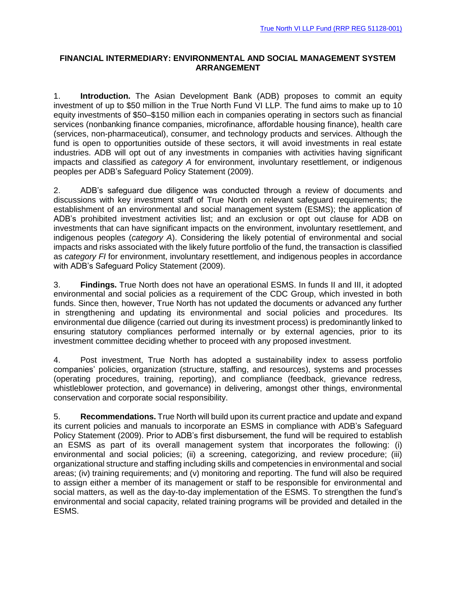## **FINANCIAL INTERMEDIARY: ENVIRONMENTAL AND SOCIAL MANAGEMENT SYSTEM ARRANGEMENT**

1. **Introduction.** The Asian Development Bank (ADB) proposes to commit an equity investment of up to \$50 million in the True North Fund VI LLP. The fund aims to make up to 10 equity investments of \$50–\$150 million each in companies operating in sectors such as financial services (nonbanking finance companies, microfinance, affordable housing finance), health care (services, non-pharmaceutical), consumer, and technology products and services. Although the fund is open to opportunities outside of these sectors, it will avoid investments in real estate industries. ADB will opt out of any investments in companies with activities having significant impacts and classified as *category A* for environment, involuntary resettlement, or indigenous peoples per ADB's Safeguard Policy Statement (2009).

2. ADB's safeguard due diligence was conducted through a review of documents and discussions with key investment staff of True North on relevant safeguard requirements; the establishment of an environmental and social management system (ESMS); the application of ADB's prohibited investment activities list; and an exclusion or opt out clause for ADB on investments that can have significant impacts on the environment, involuntary resettlement, and indigenous peoples (*category A*). Considering the likely potential of environmental and social impacts and risks associated with the likely future portfolio of the fund, the transaction is classified as *category FI* for environment, involuntary resettlement, and indigenous peoples in accordance with ADB's Safeguard Policy Statement (2009).

3. **Findings.** True North does not have an operational ESMS. In funds II and III, it adopted environmental and social policies as a requirement of the CDC Group, which invested in both funds. Since then, however, True North has not updated the documents or advanced any further in strengthening and updating its environmental and social policies and procedures. Its environmental due diligence (carried out during its investment process) is predominantly linked to ensuring statutory compliances performed internally or by external agencies, prior to its investment committee deciding whether to proceed with any proposed investment.

4. Post investment, True North has adopted a sustainability index to assess portfolio companies' policies, organization (structure, staffing, and resources), systems and processes (operating procedures, training, reporting), and compliance (feedback, grievance redress, whistleblower protection, and governance) in delivering, amongst other things, environmental conservation and corporate social responsibility.

5. **Recommendations.** True North will build upon its current practice and update and expand its current policies and manuals to incorporate an ESMS in compliance with ADB's Safeguard Policy Statement (2009). Prior to ADB's first disbursement, the fund will be required to establish an ESMS as part of its overall management system that incorporates the following: (i) environmental and social policies; (ii) a screening, categorizing, and review procedure; (iii) organizational structure and staffing including skills and competencies in environmental and social areas; (iv) training requirements; and (v) monitoring and reporting. The fund will also be required to assign either a member of its management or staff to be responsible for environmental and social matters, as well as the day-to-day implementation of the ESMS. To strengthen the fund's environmental and social capacity, related training programs will be provided and detailed in the ESMS.